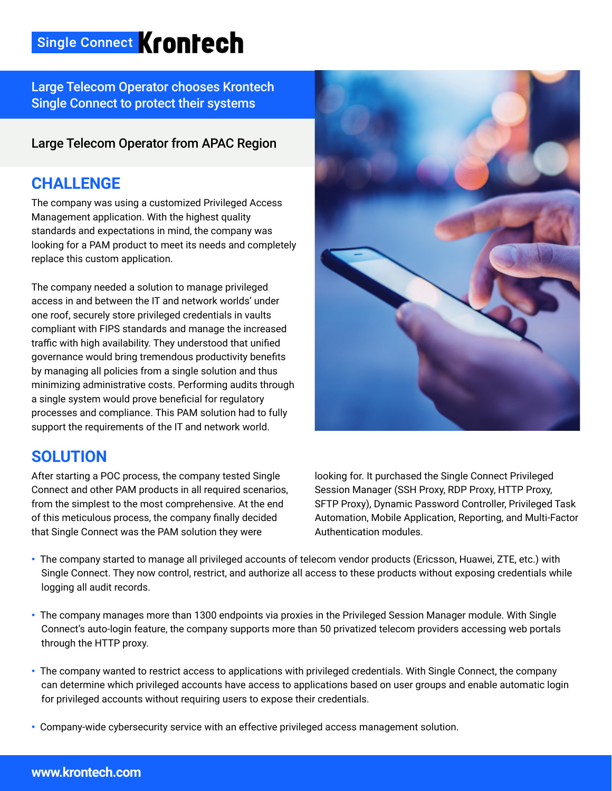# Single Connect Krontech

Large Telecom Operator chooses Krontech Single Connect to protect their systems

#### Large Telecom Operator from APAC Region

### **CHALLENGE**

The company was using a customized Privileged Access Management application. With the highest quality standards and expectations in mind, the company was looking for a PAM product to meet its needs and completely replace this custom application.

The company needed a solution to manage privileged access in and between the IT and network worlds' under one roof, securely store privileged credentials in vaults compliant with FIPS standards and manage the increased traffic with high availability. They understood that unified governance would bring tremendous productivity benefits by managing all policies from a single solution and thus minimizing administrative costs. Performing audits through a single system would prove beneficial for regulatory processes and compliance. This PAM solution had to fully support the requirements of the IT and network world.

# **SOLUTION**

After starting a POC process, the company tested Single Connect and other PAM products in all required scenarios, from the simplest to the most comprehensive. At the end of this meticulous process, the company finally decided that Single Connect was the PAM solution they were



looking for. It purchased the Single Connect Privileged Session Manager (SSH Proxy, RDP Proxy, HTTP Proxy, SFTP Proxy), Dynamic Password Controller, Privileged Task Automation, Mobile Application, Reporting, and Multi-Factor Authentication modules.

- The company started to manage all privileged accounts of telecom vendor products (Ericsson, Huawei, ZTE, etc.) with Single Connect. They now control, restrict, and authorize all access to these products without exposing credentials while logging all audit records.
- The company manages more than 1300 endpoints via proxies in the Privileged Session Manager module. With Single Connect's auto-login feature, the company supports more than 50 privatized telecom providers accessing web portals through the HTTP proxy.
- The company wanted to restrict access to applications with privileged credentials. With Single Connect, the company can determine which privileged accounts have access to applications based on user groups and enable automatic login for privileged accounts without requiring users to expose their credentials.
- Company-wide cybersecurity service with an effective privileged access management solution.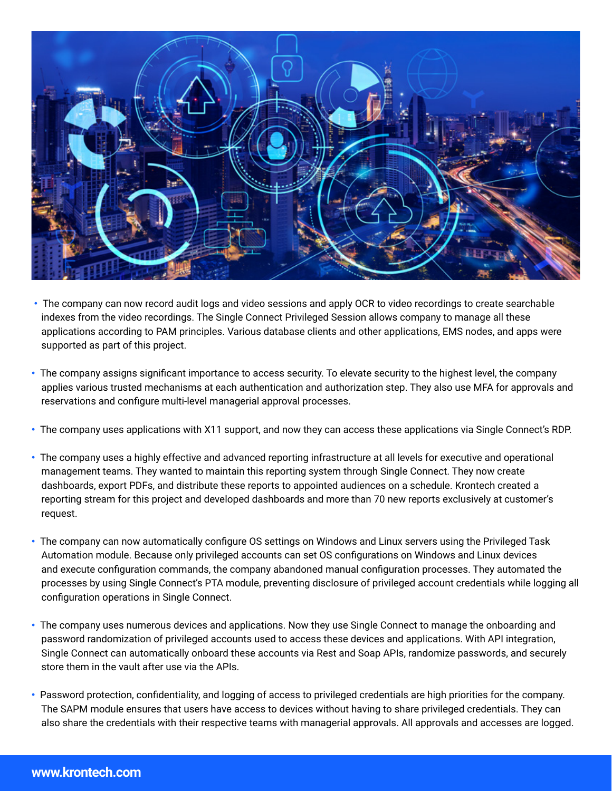

- The company can now record audit logs and video sessions and apply OCR to video recordings to create searchable indexes from the video recordings. The Single Connect Privileged Session allows company to manage all these applications according to PAM principles. Various database clients and other applications, EMS nodes, and apps were supported as part of this project.
- The company assigns significant importance to access security. To elevate security to the highest level, the company applies various trusted mechanisms at each authentication and authorization step. They also use MFA for approvals and reservations and configure multi-level managerial approval processes.
- The company uses applications with X11 support, and now they can access these applications via Single Connect's RDP.
- The company uses a highly effective and advanced reporting infrastructure at all levels for executive and operational management teams. They wanted to maintain this reporting system through Single Connect. They now create dashboards, export PDFs, and distribute these reports to appointed audiences on a schedule. Krontech created a reporting stream for this project and developed dashboards and more than 70 new reports exclusively at customer's request.
- The company can now automatically configure OS settings on Windows and Linux servers using the Privileged Task Automation module. Because only privileged accounts can set OS configurations on Windows and Linux devices and execute configuration commands, the company abandoned manual configuration processes. They automated the processes by using Single Connect's PTA module, preventing disclosure of privileged account credentials while logging all configuration operations in Single Connect.
- The company uses numerous devices and applications. Now they use Single Connect to manage the onboarding and password randomization of privileged accounts used to access these devices and applications. With API integration, Single Connect can automatically onboard these accounts via Rest and Soap APIs, randomize passwords, and securely store them in the vault after use via the APIs.
- Password protection, confidentiality, and logging of access to privileged credentials are high priorities for the company. The SAPM module ensures that users have access to devices without having to share privileged credentials. They can also share the credentials with their respective teams with managerial approvals. All approvals and accesses are logged.